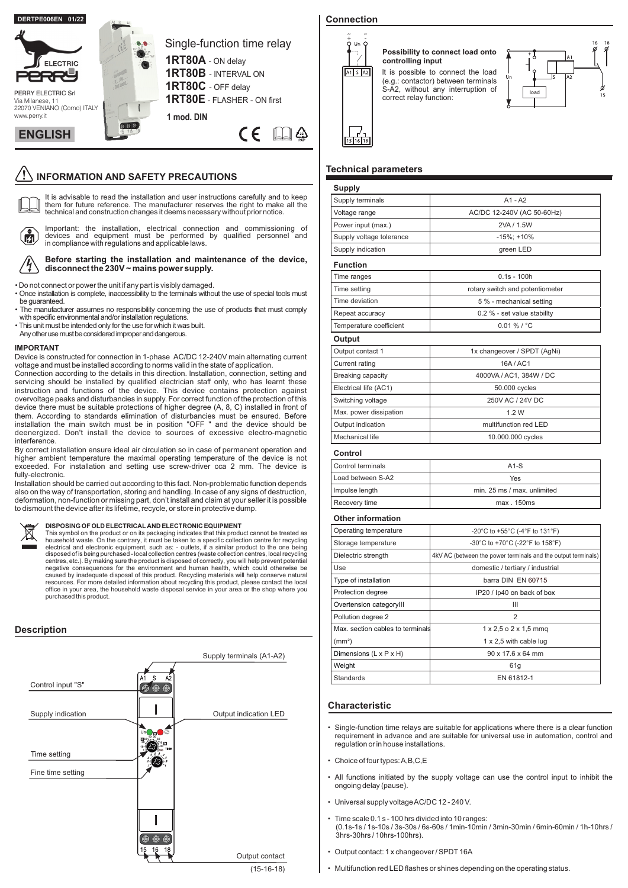

# **INFORMATION AND SAFETY PRECAUTIONS**

 $\Box$ It is advisable to read the installation and user instructions carefully and to keep them for future reference. The manufacturer reserves the right to make all the technical and construction changes it deems necessary without prior notice.



Important: the installation, electrical connection and commissioning of devices and equipment must be performed by qualified personnel and in compliance with regulations and applicable laws.

#### **Before starting the installation and maintenance of the device, disconnect the 230V ~ mains power supply.**

• Do not connect or power the unit if any part is visibly damaged.

- Once installation is complete, inaccessibility to the terminals without the use of special tools must be guaranteed.
- The manufacturer assumes no responsibility concerning the use of products that must comply with specific environmental and/or installation regulations.
- This unit must be intended only for the use for which it was built.
- Any other use must be considered improper and dangerous.

#### **IMPORTANT**

Device is constructed for connection in 1-phase AC/DC 12-240V main alternating current voltage and must be installed according to norms valid in the state of application.

Connection according to the details in this direction. lnstallation, connection, setting and servicing should be installed by qualified electrician staff only, who has learnt these instruction and functions of the device. This device contains protection against overvoltage peaks and disturbancies in supply. For correct function of the protection of this device there must be suitable protections of higher degree (A, 8, C) installed in front of them. According to standards elimination of disturbancies must be ensured. Before installation the main switch must be in position "OFF " and the device should be deenergized. Don't install the device to sources of excessive electro-magnetic interference.

By correct installation ensure ideal air circulation so in case of permanent operation and higher ambient temperature the maximal operating temperature of the device is not exceeded. For installation and setting use screw-driver cca 2 mm. The device is fully-electronic.

Installation should be carried out according to this fact. Non-problematic function depends also on the way of transportation, storing and handling. In case of any signs of destruction, deformation, non-function or missing part, don't install and claim at your seller it is possible to dismount the device after its lifetime, recycle, or store in protective dump.

**DISPOSING OF OLD ELECTRICAL AND ELECTRONIC EQUIPMENT**<br>This symbol on the product or on its packaging indicates that this product cannot be treated as<br>household waste. On the contrary, it must be taken to a specific collec centres, etc.). By making sure the product is disposed of correctly, you will help prevent potential negative consequences for the environment and human health, which could otherwise be caused by inadequate disposal of this product. Recycling materials will help conserve natural<br>resources. For more detailed information about recycling this product, please contact the local<br>office in your area, the househo purchased this product.

## **Description**



# **Connection**



# **Possibility to connect load onto controlling input** lt is possible to connect the load

(e.g.: contactor) between terminals S-A2, without any interruption of correct relay function:



## **Technical parameters**

| <b>Supply</b>                    |                                                               |  |  |  |  |  |
|----------------------------------|---------------------------------------------------------------|--|--|--|--|--|
| Supply terminals                 | $A1 - A2$                                                     |  |  |  |  |  |
| Voltage range                    | AC/DC 12-240V (AC 50-60Hz)                                    |  |  |  |  |  |
| Power input (max.)               | 2VA / 1.5W                                                    |  |  |  |  |  |
| Supply voltage tolerance         | $-15\%$ ; +10%                                                |  |  |  |  |  |
| Supply indication                | green LED                                                     |  |  |  |  |  |
| <b>Function</b>                  |                                                               |  |  |  |  |  |
| Time ranges                      | $0.1s - 100h$                                                 |  |  |  |  |  |
| Time setting                     | rotary switch and potentiometer                               |  |  |  |  |  |
| Time deviation                   | 5 % - mechanical setting                                      |  |  |  |  |  |
| Repeat accuracy                  | 0.2 % - set value stability                                   |  |  |  |  |  |
| Temperature coefficient          | $0.01 \%$ / °C                                                |  |  |  |  |  |
| Output                           |                                                               |  |  |  |  |  |
| Output contact 1                 | 1x changeover / SPDT (AgNi)                                   |  |  |  |  |  |
| <b>Current rating</b>            | 16A / AC1                                                     |  |  |  |  |  |
| Breaking capacity                | 4000VA / AC1, 384W / DC                                       |  |  |  |  |  |
| Electrical life (AC1)            | 50.000 cycles                                                 |  |  |  |  |  |
| Switching voltage                | 250V AC / 24V DC                                              |  |  |  |  |  |
| Max. power dissipation           | 1.2W                                                          |  |  |  |  |  |
| Output indication                | multifunction red LED                                         |  |  |  |  |  |
| <b>Mechanical life</b>           | 10.000.000 cycles                                             |  |  |  |  |  |
| Control                          |                                                               |  |  |  |  |  |
| Control terminals                | $A1-S$                                                        |  |  |  |  |  |
| Load between S-A2                | Yes                                                           |  |  |  |  |  |
| Impulse length                   | min. 25 ms / max. unlimited                                   |  |  |  |  |  |
| Recovery time                    | max. 150ms                                                    |  |  |  |  |  |
| <b>Other information</b>         |                                                               |  |  |  |  |  |
| Operating temperature            | -20°C to +55°C (-4°F to 131°F)                                |  |  |  |  |  |
| Storage temperature              | -30°C to +70°C (-22°F to 158°F)                               |  |  |  |  |  |
| Dielectric strength              | 4kV AC (between the power terminals and the output terminals) |  |  |  |  |  |
| Use                              | domestic / tertiary / industrial                              |  |  |  |  |  |
| Type of installation             | barra DIN EN 60715                                            |  |  |  |  |  |
| Protection degree                | IP20 / lp40 on back of box                                    |  |  |  |  |  |
| Overtension categoryIII          | Ш                                                             |  |  |  |  |  |
| Pollution degree 2               | 2                                                             |  |  |  |  |  |
| Moy, postion cobleg to terminals | 4.0552                                                        |  |  |  |  |  |

| Operating temperature              | -20°C to +55°C (-4°F to 131°F)                                |  |  |  |  |
|------------------------------------|---------------------------------------------------------------|--|--|--|--|
| Storage temperature                | -30°C to +70°C (-22°F to 158°F)                               |  |  |  |  |
| Dielectric strength                | 4kV AC (between the power terminals and the output terminals) |  |  |  |  |
| Use                                | domestic / tertiary / industrial                              |  |  |  |  |
| Type of installation               | barra DIN EN 60715                                            |  |  |  |  |
| Protection degree                  | IP20 / lp40 on back of box                                    |  |  |  |  |
| Overtension categoryIII            | Ш                                                             |  |  |  |  |
| Pollution degree 2                 | $\overline{2}$                                                |  |  |  |  |
| Max, section cables to terminals   | $1 \times 2.5$ o $2 \times 1.5$ mmg                           |  |  |  |  |
| (mm <sup>2</sup> )                 | 1 x 2,5 with cable lug                                        |  |  |  |  |
| Dimensions $(L \times P \times H)$ | $90 \times 17.6 \times 64$ mm                                 |  |  |  |  |
| Weight                             | 61g                                                           |  |  |  |  |
| <b>Standards</b>                   | EN 61812-1                                                    |  |  |  |  |

#### **Characteristic**

- Single-function time relays are suitable for applications where there is a clear function requirement in advance and are suitable for universal use in automation, control and regulation or in house installations.
- Choice of four types:A,B,C,E
- All functions initiated by the supply voltage can use the control input to inhibit the ongoing delay (pause).
- Universal supply voltageAC/DC 12 240 V.
- Time scale 0.1 s 100 hrs divided into 10 ranges: (0.1s-1s / 1s-10s / 3s-30s / 6s-60s / 1min-10min / 3min-30min / 6min-60min / 1h-10hrs / 3hrs-30hrs / 10hrs-100hrs).
- Output contact: 1 x changeover / SPDT 16A
- Multifunction red LED flashes or shines depending on the operating status.